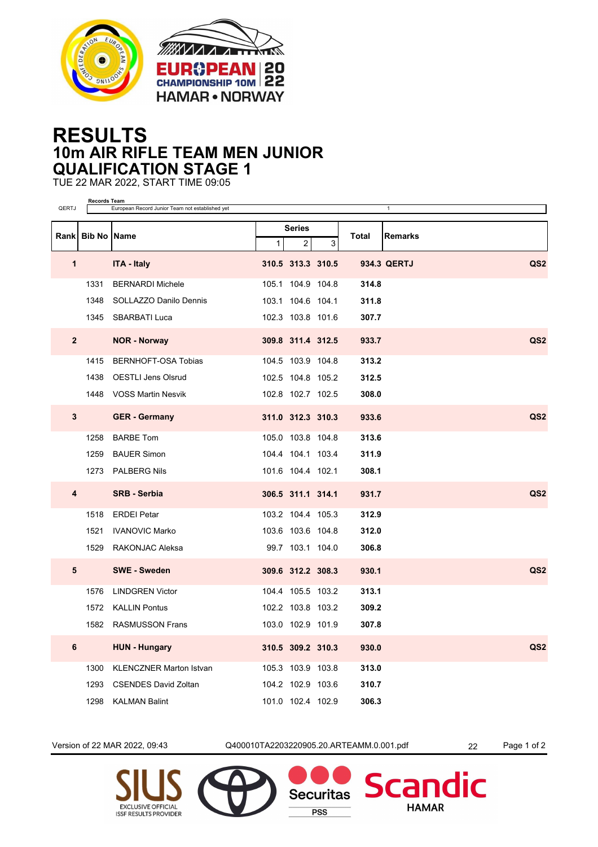



## **RESULTS 10m AIR RIFLE TEAM MEN JUNIOR QUALIFICATION STAGE 1**

TUE 22 MAR 2022, START TIME 09:05

| QERTJ          | <b>Records Team</b><br>European Record Junior Team not established yet<br>$\mathbf{1}$ |                                |              |                   |   |       |                                |  |
|----------------|----------------------------------------------------------------------------------------|--------------------------------|--------------|-------------------|---|-------|--------------------------------|--|
|                |                                                                                        |                                | Series       |                   |   |       |                                |  |
|                | Rank Bib No Name                                                                       |                                | $\mathbf{1}$ | $\overline{2}$    | 3 | Total | <b>Remarks</b>                 |  |
| 1              |                                                                                        | <b>ITA - Italy</b>             |              | 310.5 313.3 310.5 |   |       | QS <sub>2</sub><br>934.3 QERTJ |  |
|                | 1331                                                                                   | <b>BERNARDI Michele</b>        |              | 105.1 104.9 104.8 |   | 314.8 |                                |  |
|                | 1348                                                                                   | SOLLAZZO Danilo Dennis         |              | 103.1 104.6 104.1 |   | 311.8 |                                |  |
|                |                                                                                        | 1345 SBARBATI Luca             |              | 102.3 103.8 101.6 |   | 307.7 |                                |  |
| 2 <sup>2</sup> |                                                                                        | <b>NOR - Norway</b>            |              | 309.8 311.4 312.5 |   | 933.7 | QS <sub>2</sub>                |  |
|                | 1415                                                                                   | BERNHOFT-OSA Tobias            |              | 104.5 103.9 104.8 |   | 313.2 |                                |  |
|                | 1438                                                                                   | <b>OESTLI Jens Olsrud</b>      |              | 102.5 104.8 105.2 |   | 312.5 |                                |  |
|                |                                                                                        | 1448 VOSS Martin Nesvik        |              | 102.8 102.7 102.5 |   | 308.0 |                                |  |
| 3              |                                                                                        | <b>GER</b> - Germany           |              | 311.0 312.3 310.3 |   | 933.6 | QS <sub>2</sub>                |  |
|                | 1258                                                                                   | <b>BARBE Tom</b>               |              | 105.0 103.8 104.8 |   | 313.6 |                                |  |
|                | 1259                                                                                   | <b>BAUER Simon</b>             |              | 104.4 104.1 103.4 |   | 311.9 |                                |  |
|                | 1273                                                                                   | <b>PALBERG Nils</b>            |              | 101.6 104.4 102.1 |   | 308.1 |                                |  |
| 4              |                                                                                        | <b>SRB - Serbia</b>            |              | 306.5 311.1 314.1 |   | 931.7 | QS <sub>2</sub>                |  |
|                | 1518                                                                                   | <b>ERDEI Petar</b>             |              | 103.2 104.4 105.3 |   | 312.9 |                                |  |
|                | 1521                                                                                   | <b>IVANOVIC Marko</b>          |              | 103.6 103.6 104.8 |   | 312.0 |                                |  |
|                | 1529                                                                                   | RAKONJAC Aleksa                |              | 99.7 103.1 104.0  |   | 306.8 |                                |  |
| 5              |                                                                                        | <b>SWE - Sweden</b>            |              | 309.6 312.2 308.3 |   | 930.1 | QS <sub>2</sub>                |  |
|                | 1576                                                                                   | <b>LINDGREN Victor</b>         |              | 104.4 105.5 103.2 |   | 313.1 |                                |  |
|                | 1572                                                                                   | <b>KALLIN Pontus</b>           |              | 102.2 103.8 103.2 |   | 309.2 |                                |  |
|                |                                                                                        | 1582 RASMUSSON Frans           |              | 103.0 102.9 101.9 |   | 307.8 |                                |  |
| 6              |                                                                                        | <b>HUN - Hungary</b>           |              | 310.5 309.2 310.3 |   | 930.0 | QS <sub>2</sub>                |  |
|                | 1300                                                                                   | <b>KLENCZNER Marton Istvan</b> |              | 105.3 103.9 103.8 |   | 313.0 |                                |  |
|                | 1293                                                                                   | <b>CSENDES David Zoltan</b>    |              | 104.2 102.9 103.6 |   | 310.7 |                                |  |
|                | 1298                                                                                   | <b>KALMAN Balint</b>           |              | 101.0 102.4 102.9 |   | 306.3 |                                |  |

Version of 22 MAR 2022, 09:43 Q400010TA2203220905.20.ARTEAMM.0.001.pdf 22 Page 1 of 2

**Securitas** 

**PSS** 

dic

**Scan** 

**HAMAR**